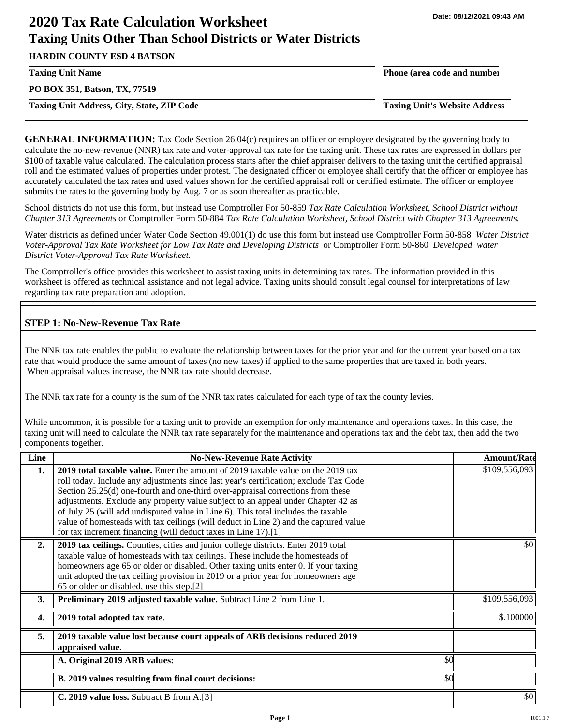# **2020 Tax Rate Calculation Worksheet Taxing Units Other Than School Districts or Water Districts**

**HARDIN COUNTY ESD 4 BATSON**

**PO BOX 351, Batson, TX, 77519**

**Taxing Unit Address, City, State, ZIP Code Taxing Unit's Website Address**

**Taxing Unit Name Phone (area code and number**

**GENERAL INFORMATION:** Tax Code Section 26.04(c) requires an officer or employee designated by the governing body to calculate the no-new-revenue (NNR) tax rate and voter-approval tax rate for the taxing unit. These tax rates are expressed in dollars per \$100 of taxable value calculated. The calculation process starts after the chief appraiser delivers to the taxing unit the certified appraisal roll and the estimated values of properties under protest. The designated officer or employee shall certify that the officer or employee has accurately calculated the tax rates and used values shown for the certified appraisal roll or certified estimate. The officer or employee submits the rates to the governing body by Aug. 7 or as soon thereafter as practicable.

School districts do not use this form, but instead use Comptroller For 50-859 *Tax Rate Calculation Worksheet, School District without Chapter 313 Agreements* or Comptroller Form 50-884 *Tax Rate Calculation Worksheet, School District with Chapter 313 Agreements.*

Water districts as defined under Water Code Section 49.001(1) do use this form but instead use Comptroller Form 50-858 *Water District Voter-Approval Tax Rate Worksheet for Low Tax Rate and Developing Districts* or Comptroller Form 50-860 *Developed water District Voter-Approval Tax Rate Worksheet.*

The Comptroller's office provides this worksheet to assist taxing units in determining tax rates. The information provided in this worksheet is offered as technical assistance and not legal advice. Taxing units should consult legal counsel for interpretations of law regarding tax rate preparation and adoption.

# **STEP 1: No-New-Revenue Tax Rate**

The NNR tax rate enables the public to evaluate the relationship between taxes for the prior year and for the current year based on a tax rate that would produce the same amount of taxes (no new taxes) if applied to the same properties that are taxed in both years. When appraisal values increase, the NNR tax rate should decrease.

The NNR tax rate for a county is the sum of the NNR tax rates calculated for each type of tax the county levies.

While uncommon, it is possible for a taxing unit to provide an exemption for only maintenance and operations taxes. In this case, the taxing unit will need to calculate the NNR tax rate separately for the maintenance and operations tax and the debt tax, then add the two components together.

| Line | <b>No-New-Revenue Rate Activity</b>                                                                                                                                                                                                                                                                                                                                                                                                                                                                                                                                                             |     | <b>Amount/Rate</b> |
|------|-------------------------------------------------------------------------------------------------------------------------------------------------------------------------------------------------------------------------------------------------------------------------------------------------------------------------------------------------------------------------------------------------------------------------------------------------------------------------------------------------------------------------------------------------------------------------------------------------|-----|--------------------|
| 1.   | 2019 total taxable value. Enter the amount of 2019 taxable value on the 2019 tax<br>roll today. Include any adjustments since last year's certification; exclude Tax Code<br>Section 25.25(d) one-fourth and one-third over-appraisal corrections from these<br>adjustments. Exclude any property value subject to an appeal under Chapter 42 as<br>of July 25 (will add undisputed value in Line 6). This total includes the taxable<br>value of homesteads with tax ceilings (will deduct in Line 2) and the captured value<br>for tax increment financing (will deduct taxes in Line 17).[1] |     | \$109,556,093      |
| 2.   | 2019 tax ceilings. Counties, cities and junior college districts. Enter 2019 total<br>taxable value of homesteads with tax ceilings. These include the homesteads of<br>homeowners age 65 or older or disabled. Other taxing units enter 0. If your taxing<br>unit adopted the tax ceiling provision in 2019 or a prior year for homeowners age<br>65 or older or disabled, use this step.[2]                                                                                                                                                                                                   |     | \$0                |
| 3.   | <b>Preliminary 2019 adjusted taxable value.</b> Subtract Line 2 from Line 1.                                                                                                                                                                                                                                                                                                                                                                                                                                                                                                                    |     | \$109,556,093      |
| 4.   | 2019 total adopted tax rate.                                                                                                                                                                                                                                                                                                                                                                                                                                                                                                                                                                    |     | \$.100000          |
| 5.   | 2019 taxable value lost because court appeals of ARB decisions reduced 2019<br>appraised value.                                                                                                                                                                                                                                                                                                                                                                                                                                                                                                 |     |                    |
|      | A. Original 2019 ARB values:                                                                                                                                                                                                                                                                                                                                                                                                                                                                                                                                                                    | \$0 |                    |
|      | B. 2019 values resulting from final court decisions:                                                                                                                                                                                                                                                                                                                                                                                                                                                                                                                                            | \$0 |                    |
|      | C. 2019 value loss. Subtract B from A.[3]                                                                                                                                                                                                                                                                                                                                                                                                                                                                                                                                                       |     | \$0                |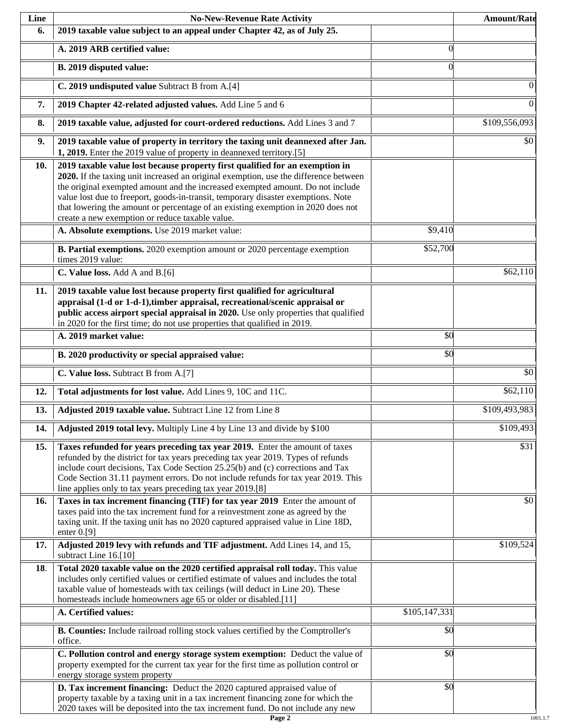| Line | <b>No-New-Revenue Rate Activity</b>                                                                                                                                                                                                                                                                                                                                                                                                                                                |               | <b>Amount/Rate</b> |
|------|------------------------------------------------------------------------------------------------------------------------------------------------------------------------------------------------------------------------------------------------------------------------------------------------------------------------------------------------------------------------------------------------------------------------------------------------------------------------------------|---------------|--------------------|
| 6.   | 2019 taxable value subject to an appeal under Chapter 42, as of July 25.                                                                                                                                                                                                                                                                                                                                                                                                           |               |                    |
|      | A. 2019 ARB certified value:                                                                                                                                                                                                                                                                                                                                                                                                                                                       | $\theta$      |                    |
|      | B. 2019 disputed value:                                                                                                                                                                                                                                                                                                                                                                                                                                                            | $\Omega$      |                    |
|      | C. 2019 undisputed value Subtract B from A.[4]                                                                                                                                                                                                                                                                                                                                                                                                                                     |               | $\theta$           |
| 7.   | 2019 Chapter 42-related adjusted values. Add Line 5 and 6                                                                                                                                                                                                                                                                                                                                                                                                                          |               | $\overline{0}$     |
| 8.   | 2019 taxable value, adjusted for court-ordered reductions. Add Lines 3 and 7                                                                                                                                                                                                                                                                                                                                                                                                       |               | \$109,556,093      |
| 9.   | 2019 taxable value of property in territory the taxing unit deannexed after Jan.<br>1, 2019. Enter the 2019 value of property in deannexed territory.[5]                                                                                                                                                                                                                                                                                                                           |               | \$0                |
| 10.  | 2019 taxable value lost because property first qualified for an exemption in<br>2020. If the taxing unit increased an original exemption, use the difference between<br>the original exempted amount and the increased exempted amount. Do not include<br>value lost due to freeport, goods-in-transit, temporary disaster exemptions. Note<br>that lowering the amount or percentage of an existing exemption in 2020 does not<br>create a new exemption or reduce taxable value. |               |                    |
|      | A. Absolute exemptions. Use 2019 market value:                                                                                                                                                                                                                                                                                                                                                                                                                                     | \$9,410       |                    |
|      | B. Partial exemptions. 2020 exemption amount or 2020 percentage exemption<br>times 2019 value:                                                                                                                                                                                                                                                                                                                                                                                     | \$52,700      |                    |
|      | C. Value loss. Add A and B.[6]                                                                                                                                                                                                                                                                                                                                                                                                                                                     |               | $\sqrt{$62,110}$   |
| 11.  | 2019 taxable value lost because property first qualified for agricultural<br>appraisal (1-d or 1-d-1), timber appraisal, recreational/scenic appraisal or<br>public access airport special appraisal in 2020. Use only properties that qualified<br>in 2020 for the first time; do not use properties that qualified in 2019.                                                                                                                                                      |               |                    |
|      | A. 2019 market value:                                                                                                                                                                                                                                                                                                                                                                                                                                                              | \$0           |                    |
|      | B. 2020 productivity or special appraised value:                                                                                                                                                                                                                                                                                                                                                                                                                                   | \$0           |                    |
|      | C. Value loss. Subtract B from A.[7]                                                                                                                                                                                                                                                                                                                                                                                                                                               |               | $\overline{50}$    |
| 12.  | Total adjustments for lost value. Add Lines 9, 10C and 11C.                                                                                                                                                                                                                                                                                                                                                                                                                        |               | \$62,110           |
| 13.  | Adjusted 2019 taxable value. Subtract Line 12 from Line 8                                                                                                                                                                                                                                                                                                                                                                                                                          |               | \$109,493,983      |
| 14.  | Adjusted 2019 total levy. Multiply Line 4 by Line 13 and divide by \$100                                                                                                                                                                                                                                                                                                                                                                                                           |               | \$109,493          |
| 15.  | Taxes refunded for years preceding tax year 2019. Enter the amount of taxes<br>refunded by the district for tax years preceding tax year 2019. Types of refunds<br>include court decisions, Tax Code Section 25.25(b) and (c) corrections and Tax<br>Code Section 31.11 payment errors. Do not include refunds for tax year 2019. This<br>line applies only to tax years preceding tax year 2019.[8]                                                                               |               | \$31               |
| 16.  | Taxes in tax increment financing (TIF) for tax year 2019 Enter the amount of<br>taxes paid into the tax increment fund for a reinvestment zone as agreed by the<br>taxing unit. If the taxing unit has no 2020 captured appraised value in Line 18D,<br>enter $0.9$ ]                                                                                                                                                                                                              |               | \$0                |
| 17.  | Adjusted 2019 levy with refunds and TIF adjustment. Add Lines 14, and 15,<br>subtract Line 16.[10]                                                                                                                                                                                                                                                                                                                                                                                 |               | \$109,524          |
| 18.  | Total 2020 taxable value on the 2020 certified appraisal roll today. This value<br>includes only certified values or certified estimate of values and includes the total<br>taxable value of homesteads with tax ceilings (will deduct in Line 20). These<br>homesteads include homeowners age 65 or older or disabled.[11]                                                                                                                                                        |               |                    |
|      | A. Certified values:                                                                                                                                                                                                                                                                                                                                                                                                                                                               | \$105,147,331 |                    |
|      | B. Counties: Include railroad rolling stock values certified by the Comptroller's<br>office.                                                                                                                                                                                                                                                                                                                                                                                       | \$0           |                    |
|      | C. Pollution control and energy storage system exemption: Deduct the value of<br>property exempted for the current tax year for the first time as pollution control or<br>energy storage system property                                                                                                                                                                                                                                                                           | \$0           |                    |
|      | D. Tax increment financing: Deduct the 2020 captured appraised value of<br>property taxable by a taxing unit in a tax increment financing zone for which the<br>2020 taxes will be deposited into the tax increment fund. Do not include any new                                                                                                                                                                                                                                   | \$0           |                    |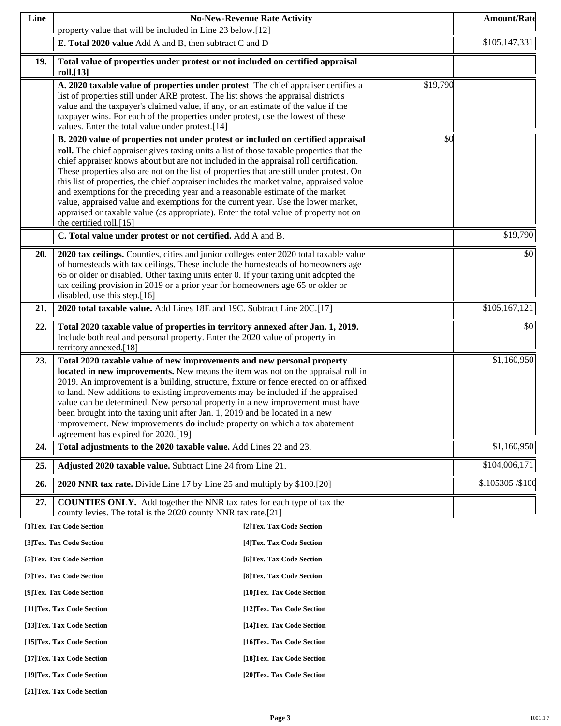| Line |                                                                                                                                                                                                                                                                                                                                                                                                                                                                                                                                                                                                                                                                                                                                                                                                                       | <b>No-New-Revenue Rate Activity</b> |          | <b>Amount/Rate</b>        |
|------|-----------------------------------------------------------------------------------------------------------------------------------------------------------------------------------------------------------------------------------------------------------------------------------------------------------------------------------------------------------------------------------------------------------------------------------------------------------------------------------------------------------------------------------------------------------------------------------------------------------------------------------------------------------------------------------------------------------------------------------------------------------------------------------------------------------------------|-------------------------------------|----------|---------------------------|
|      | property value that will be included in Line 23 below.[12]                                                                                                                                                                                                                                                                                                                                                                                                                                                                                                                                                                                                                                                                                                                                                            |                                     |          |                           |
|      | E. Total 2020 value Add A and B, then subtract C and D                                                                                                                                                                                                                                                                                                                                                                                                                                                                                                                                                                                                                                                                                                                                                                |                                     |          | \$105,147,331             |
| 19.  | Total value of properties under protest or not included on certified appraisal<br>roll.[13]                                                                                                                                                                                                                                                                                                                                                                                                                                                                                                                                                                                                                                                                                                                           |                                     |          |                           |
|      | A. 2020 taxable value of properties under protest The chief appraiser certifies a<br>list of properties still under ARB protest. The list shows the appraisal district's<br>value and the taxpayer's claimed value, if any, or an estimate of the value if the<br>taxpayer wins. For each of the properties under protest, use the lowest of these<br>values. Enter the total value under protest.[14]                                                                                                                                                                                                                                                                                                                                                                                                                |                                     | \$19,790 |                           |
|      | B. 2020 value of properties not under protest or included on certified appraisal<br>roll. The chief appraiser gives taxing units a list of those taxable properties that the<br>chief appraiser knows about but are not included in the appraisal roll certification.<br>These properties also are not on the list of properties that are still under protest. On<br>this list of properties, the chief appraiser includes the market value, appraised value<br>and exemptions for the preceding year and a reasonable estimate of the market<br>value, appraised value and exemptions for the current year. Use the lower market,<br>appraised or taxable value (as appropriate). Enter the total value of property not on<br>the certified roll.[15]<br>C. Total value under protest or not certified. Add A and B. |                                     | \$0      | \$19,790                  |
|      |                                                                                                                                                                                                                                                                                                                                                                                                                                                                                                                                                                                                                                                                                                                                                                                                                       |                                     |          |                           |
| 20.  | 2020 tax ceilings. Counties, cities and junior colleges enter 2020 total taxable value<br>of homesteads with tax ceilings. These include the homesteads of homeowners age<br>65 or older or disabled. Other taxing units enter 0. If your taxing unit adopted the<br>tax ceiling provision in 2019 or a prior year for homeowners age 65 or older or<br>disabled, use this step.[16]                                                                                                                                                                                                                                                                                                                                                                                                                                  |                                     |          | \$0                       |
| 21.  | 2020 total taxable value. Add Lines 18E and 19C. Subtract Line 20C.[17]                                                                                                                                                                                                                                                                                                                                                                                                                                                                                                                                                                                                                                                                                                                                               |                                     |          | $\overline{$105,167,121}$ |
| 22.  | Total 2020 taxable value of properties in territory annexed after Jan. 1, 2019.<br>Include both real and personal property. Enter the 2020 value of property in<br>territory annexed.[18]                                                                                                                                                                                                                                                                                                                                                                                                                                                                                                                                                                                                                             |                                     |          | \$0                       |
| 23.  | Total 2020 taxable value of new improvements and new personal property<br>located in new improvements. New means the item was not on the appraisal roll in<br>2019. An improvement is a building, structure, fixture or fence erected on or affixed<br>to land. New additions to existing improvements may be included if the appraised<br>value can be determined. New personal property in a new improvement must have<br>been brought into the taxing unit after Jan. 1, 2019 and be located in a new<br>improvement. New improvements <b>do</b> include property on which a tax abatement<br>agreement has expired for 2020.[19]                                                                                                                                                                                  |                                     |          | \$1,160,950               |
| 24.  | Total adjustments to the 2020 taxable value. Add Lines 22 and 23.                                                                                                                                                                                                                                                                                                                                                                                                                                                                                                                                                                                                                                                                                                                                                     |                                     |          | \$1,160,950               |
| 25.  | Adjusted 2020 taxable value. Subtract Line 24 from Line 21.                                                                                                                                                                                                                                                                                                                                                                                                                                                                                                                                                                                                                                                                                                                                                           |                                     |          | \$104,006,171             |
| 26.  | 2020 NNR tax rate. Divide Line 17 by Line 25 and multiply by \$100.[20]                                                                                                                                                                                                                                                                                                                                                                                                                                                                                                                                                                                                                                                                                                                                               |                                     |          | \$.105305 / \$100         |
|      |                                                                                                                                                                                                                                                                                                                                                                                                                                                                                                                                                                                                                                                                                                                                                                                                                       |                                     |          |                           |
| 27.  | <b>COUNTIES ONLY.</b> Add together the NNR tax rates for each type of tax the<br>county levies. The total is the 2020 county NNR tax rate.[21]                                                                                                                                                                                                                                                                                                                                                                                                                                                                                                                                                                                                                                                                        |                                     |          |                           |
|      | [1]Tex. Tax Code Section                                                                                                                                                                                                                                                                                                                                                                                                                                                                                                                                                                                                                                                                                                                                                                                              | [2]Tex. Tax Code Section            |          |                           |
|      | [3]Tex. Tax Code Section                                                                                                                                                                                                                                                                                                                                                                                                                                                                                                                                                                                                                                                                                                                                                                                              | [4] Tex. Tax Code Section           |          |                           |
|      | [5]Tex. Tax Code Section                                                                                                                                                                                                                                                                                                                                                                                                                                                                                                                                                                                                                                                                                                                                                                                              | [6] Tex. Tax Code Section           |          |                           |
|      | [7] Tex. Tax Code Section                                                                                                                                                                                                                                                                                                                                                                                                                                                                                                                                                                                                                                                                                                                                                                                             | [8] Tex. Tax Code Section           |          |                           |
|      | [9]Tex. Tax Code Section                                                                                                                                                                                                                                                                                                                                                                                                                                                                                                                                                                                                                                                                                                                                                                                              | [10]Tex. Tax Code Section           |          |                           |
|      | [11] Tex. Tax Code Section                                                                                                                                                                                                                                                                                                                                                                                                                                                                                                                                                                                                                                                                                                                                                                                            | [12] Tex. Tax Code Section          |          |                           |
|      | [13] Tex. Tax Code Section                                                                                                                                                                                                                                                                                                                                                                                                                                                                                                                                                                                                                                                                                                                                                                                            | [14] Tex. Tax Code Section          |          |                           |
|      | [15] Tex. Tax Code Section                                                                                                                                                                                                                                                                                                                                                                                                                                                                                                                                                                                                                                                                                                                                                                                            | [16] Tex. Tax Code Section          |          |                           |
|      | [17] Tex. Tax Code Section                                                                                                                                                                                                                                                                                                                                                                                                                                                                                                                                                                                                                                                                                                                                                                                            | [18] Tex. Tax Code Section          |          |                           |
|      | [19]Tex. Tax Code Section                                                                                                                                                                                                                                                                                                                                                                                                                                                                                                                                                                                                                                                                                                                                                                                             | [20]Tex. Tax Code Section           |          |                           |

**[21]Tex. Tax Code Section**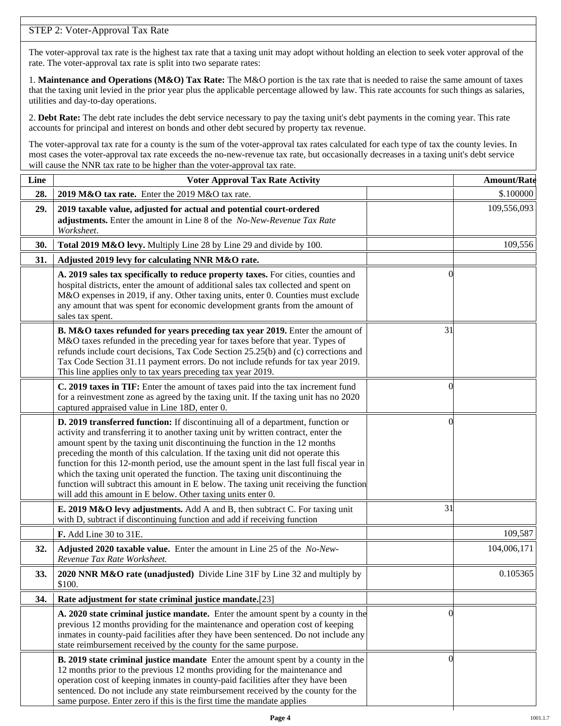# STEP 2: Voter-Approval Tax Rate

The voter-approval tax rate is the highest tax rate that a taxing unit may adopt without holding an election to seek voter approval of the rate. The voter-approval tax rate is split into two separate rates:

1. **Maintenance and Operations (M&O) Tax Rate:** The M&O portion is the tax rate that is needed to raise the same amount of taxes that the taxing unit levied in the prior year plus the applicable percentage allowed by law. This rate accounts for such things as salaries, utilities and day-to-day operations.

2. **Debt Rate:** The debt rate includes the debt service necessary to pay the taxing unit's debt payments in the coming year. This rate accounts for principal and interest on bonds and other debt secured by property tax revenue.

The voter-approval tax rate for a county is the sum of the voter-approval tax rates calculated for each type of tax the county levies. In most cases the voter-approval tax rate exceeds the no-new-revenue tax rate, but occasionally decreases in a taxing unit's debt service will cause the NNR tax rate to be higher than the voter-approval tax rate.

| Line | <b>Voter Approval Tax Rate Activity</b>                                                                                                                                                                                                                                                                                                                                                                                                                                                                                                                                                                                                                                        |                | <b>Amount/Rate</b> |
|------|--------------------------------------------------------------------------------------------------------------------------------------------------------------------------------------------------------------------------------------------------------------------------------------------------------------------------------------------------------------------------------------------------------------------------------------------------------------------------------------------------------------------------------------------------------------------------------------------------------------------------------------------------------------------------------|----------------|--------------------|
| 28.  | 2019 M&O tax rate. Enter the 2019 M&O tax rate.                                                                                                                                                                                                                                                                                                                                                                                                                                                                                                                                                                                                                                |                | \$.100000          |
| 29.  | 2019 taxable value, adjusted for actual and potential court-ordered<br>adjustments. Enter the amount in Line 8 of the No-New-Revenue Tax Rate<br>Worksheet.                                                                                                                                                                                                                                                                                                                                                                                                                                                                                                                    |                | 109,556,093        |
| 30.  | Total 2019 M&O levy. Multiply Line 28 by Line 29 and divide by 100.                                                                                                                                                                                                                                                                                                                                                                                                                                                                                                                                                                                                            |                | 109,556            |
| 31.  | Adjusted 2019 levy for calculating NNR M&O rate.                                                                                                                                                                                                                                                                                                                                                                                                                                                                                                                                                                                                                               |                |                    |
|      | A. 2019 sales tax specifically to reduce property taxes. For cities, counties and<br>hospital districts, enter the amount of additional sales tax collected and spent on<br>M&O expenses in 2019, if any. Other taxing units, enter 0. Counties must exclude<br>any amount that was spent for economic development grants from the amount of<br>sales tax spent.                                                                                                                                                                                                                                                                                                               | $\Omega$       |                    |
|      | B. M&O taxes refunded for years preceding tax year 2019. Enter the amount of<br>M&O taxes refunded in the preceding year for taxes before that year. Types of<br>refunds include court decisions, Tax Code Section 25.25(b) and (c) corrections and<br>Tax Code Section 31.11 payment errors. Do not include refunds for tax year 2019.<br>This line applies only to tax years preceding tax year 2019.                                                                                                                                                                                                                                                                        | 31             |                    |
|      | C. 2019 taxes in TIF: Enter the amount of taxes paid into the tax increment fund<br>for a reinvestment zone as agreed by the taxing unit. If the taxing unit has no 2020<br>captured appraised value in Line 18D, enter 0.                                                                                                                                                                                                                                                                                                                                                                                                                                                     | 0              |                    |
|      | D. 2019 transferred function: If discontinuing all of a department, function or<br>activity and transferring it to another taxing unit by written contract, enter the<br>amount spent by the taxing unit discontinuing the function in the 12 months<br>preceding the month of this calculation. If the taxing unit did not operate this<br>function for this 12-month period, use the amount spent in the last full fiscal year in<br>which the taxing unit operated the function. The taxing unit discontinuing the<br>function will subtract this amount in E below. The taxing unit receiving the function<br>will add this amount in E below. Other taxing units enter 0. | $\left($       |                    |
|      | E. 2019 M&O levy adjustments. Add A and B, then subtract C. For taxing unit<br>with D, subtract if discontinuing function and add if receiving function                                                                                                                                                                                                                                                                                                                                                                                                                                                                                                                        | 31             |                    |
|      | F. Add Line 30 to 31E.                                                                                                                                                                                                                                                                                                                                                                                                                                                                                                                                                                                                                                                         |                | 109,587            |
| 32.  | Adjusted 2020 taxable value. Enter the amount in Line 25 of the No-New-<br>Revenue Tax Rate Worksheet.                                                                                                                                                                                                                                                                                                                                                                                                                                                                                                                                                                         |                | 104,006,171        |
| 33.  | 2020 NNR M&O rate (unadjusted) Divide Line 31F by Line 32 and multiply by<br>\$100.                                                                                                                                                                                                                                                                                                                                                                                                                                                                                                                                                                                            |                | 0.105365           |
| 34.  | Rate adjustment for state criminal justice mandate.[23]                                                                                                                                                                                                                                                                                                                                                                                                                                                                                                                                                                                                                        |                |                    |
|      | A. 2020 state criminal justice mandate. Enter the amount spent by a county in the<br>previous 12 months providing for the maintenance and operation cost of keeping<br>inmates in county-paid facilities after they have been sentenced. Do not include any<br>state reimbursement received by the county for the same purpose.                                                                                                                                                                                                                                                                                                                                                | $\Omega$       |                    |
|      | <b>B. 2019 state criminal justice mandate</b> Enter the amount spent by a county in the<br>12 months prior to the previous 12 months providing for the maintenance and<br>operation cost of keeping inmates in county-paid facilities after they have been<br>sentenced. Do not include any state reimbursement received by the county for the<br>same purpose. Enter zero if this is the first time the mandate applies                                                                                                                                                                                                                                                       | $\overline{0}$ |                    |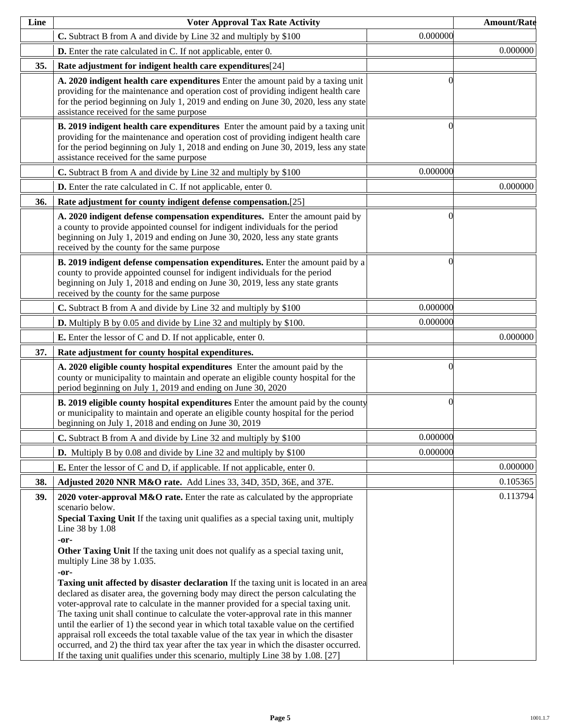| Line | <b>Voter Approval Tax Rate Activity</b>                                                                                                                                                                                                                                                                                                                                                                                                                                                                                                                                                                                                                                                                                                                                                                                                                                                                                                                                                                                                                                      |          | <b>Amount/Rate</b> |
|------|------------------------------------------------------------------------------------------------------------------------------------------------------------------------------------------------------------------------------------------------------------------------------------------------------------------------------------------------------------------------------------------------------------------------------------------------------------------------------------------------------------------------------------------------------------------------------------------------------------------------------------------------------------------------------------------------------------------------------------------------------------------------------------------------------------------------------------------------------------------------------------------------------------------------------------------------------------------------------------------------------------------------------------------------------------------------------|----------|--------------------|
|      | C. Subtract B from A and divide by Line 32 and multiply by \$100                                                                                                                                                                                                                                                                                                                                                                                                                                                                                                                                                                                                                                                                                                                                                                                                                                                                                                                                                                                                             | 0.000000 |                    |
|      | <b>D.</b> Enter the rate calculated in C. If not applicable, enter 0.                                                                                                                                                                                                                                                                                                                                                                                                                                                                                                                                                                                                                                                                                                                                                                                                                                                                                                                                                                                                        |          | 0.000000           |
| 35.  | Rate adjustment for indigent health care expenditures[24]                                                                                                                                                                                                                                                                                                                                                                                                                                                                                                                                                                                                                                                                                                                                                                                                                                                                                                                                                                                                                    |          |                    |
|      | A. 2020 indigent health care expenditures Enter the amount paid by a taxing unit<br>providing for the maintenance and operation cost of providing indigent health care<br>for the period beginning on July 1, 2019 and ending on June 30, 2020, less any state<br>assistance received for the same purpose                                                                                                                                                                                                                                                                                                                                                                                                                                                                                                                                                                                                                                                                                                                                                                   | ſ        |                    |
|      | B. 2019 indigent health care expenditures Enter the amount paid by a taxing unit<br>providing for the maintenance and operation cost of providing indigent health care<br>for the period beginning on July 1, 2018 and ending on June 30, 2019, less any state<br>assistance received for the same purpose                                                                                                                                                                                                                                                                                                                                                                                                                                                                                                                                                                                                                                                                                                                                                                   | 0        |                    |
|      | C. Subtract B from A and divide by Line 32 and multiply by \$100                                                                                                                                                                                                                                                                                                                                                                                                                                                                                                                                                                                                                                                                                                                                                                                                                                                                                                                                                                                                             | 0.000000 |                    |
|      | <b>D.</b> Enter the rate calculated in C. If not applicable, enter 0.                                                                                                                                                                                                                                                                                                                                                                                                                                                                                                                                                                                                                                                                                                                                                                                                                                                                                                                                                                                                        |          | 0.000000           |
| 36.  | Rate adjustment for county indigent defense compensation.[25]                                                                                                                                                                                                                                                                                                                                                                                                                                                                                                                                                                                                                                                                                                                                                                                                                                                                                                                                                                                                                |          |                    |
|      | A. 2020 indigent defense compensation expenditures. Enter the amount paid by<br>a county to provide appointed counsel for indigent individuals for the period<br>beginning on July 1, 2019 and ending on June 30, 2020, less any state grants<br>received by the county for the same purpose                                                                                                                                                                                                                                                                                                                                                                                                                                                                                                                                                                                                                                                                                                                                                                                 | 0        |                    |
|      | B. 2019 indigent defense compensation expenditures. Enter the amount paid by a<br>county to provide appointed counsel for indigent individuals for the period<br>beginning on July 1, 2018 and ending on June 30, 2019, less any state grants<br>received by the county for the same purpose                                                                                                                                                                                                                                                                                                                                                                                                                                                                                                                                                                                                                                                                                                                                                                                 | 0        |                    |
|      | C. Subtract B from A and divide by Line 32 and multiply by \$100                                                                                                                                                                                                                                                                                                                                                                                                                                                                                                                                                                                                                                                                                                                                                                                                                                                                                                                                                                                                             | 0.000000 |                    |
|      | <b>D.</b> Multiply B by 0.05 and divide by Line 32 and multiply by \$100.                                                                                                                                                                                                                                                                                                                                                                                                                                                                                                                                                                                                                                                                                                                                                                                                                                                                                                                                                                                                    | 0.000000 |                    |
|      | <b>E.</b> Enter the lessor of C and D. If not applicable, enter 0.                                                                                                                                                                                                                                                                                                                                                                                                                                                                                                                                                                                                                                                                                                                                                                                                                                                                                                                                                                                                           |          | 0.000000           |
| 37.  | Rate adjustment for county hospital expenditures.                                                                                                                                                                                                                                                                                                                                                                                                                                                                                                                                                                                                                                                                                                                                                                                                                                                                                                                                                                                                                            |          |                    |
|      | A. 2020 eligible county hospital expenditures Enter the amount paid by the<br>county or municipality to maintain and operate an eligible county hospital for the<br>period beginning on July 1, 2019 and ending on June 30, 2020                                                                                                                                                                                                                                                                                                                                                                                                                                                                                                                                                                                                                                                                                                                                                                                                                                             | 0        |                    |
|      | <b>B. 2019 eligible county hospital expenditures</b> Enter the amount paid by the county<br>or municipality to maintain and operate an eligible county hospital for the period<br>beginning on July 1, 2018 and ending on June 30, 2019                                                                                                                                                                                                                                                                                                                                                                                                                                                                                                                                                                                                                                                                                                                                                                                                                                      | $\Omega$ |                    |
|      | C. Subtract B from A and divide by Line 32 and multiply by \$100                                                                                                                                                                                                                                                                                                                                                                                                                                                                                                                                                                                                                                                                                                                                                                                                                                                                                                                                                                                                             | 0.000000 |                    |
|      | <b>D.</b> Multiply B by 0.08 and divide by Line 32 and multiply by \$100                                                                                                                                                                                                                                                                                                                                                                                                                                                                                                                                                                                                                                                                                                                                                                                                                                                                                                                                                                                                     | 0.000000 |                    |
|      | <b>E.</b> Enter the lessor of C and D, if applicable. If not applicable, enter 0.                                                                                                                                                                                                                                                                                                                                                                                                                                                                                                                                                                                                                                                                                                                                                                                                                                                                                                                                                                                            |          | 0.000000           |
| 38.  | Adjusted 2020 NNR M&O rate. Add Lines 33, 34D, 35D, 36E, and 37E.                                                                                                                                                                                                                                                                                                                                                                                                                                                                                                                                                                                                                                                                                                                                                                                                                                                                                                                                                                                                            |          | 0.105365           |
| 39.  | 2020 voter-approval M&O rate. Enter the rate as calculated by the appropriate<br>scenario below.<br>Special Taxing Unit If the taxing unit qualifies as a special taxing unit, multiply<br>Line 38 by 1.08<br>-or-<br>Other Taxing Unit If the taxing unit does not qualify as a special taxing unit,<br>multiply Line 38 by 1.035.<br>-or-<br><b>Taxing unit affected by disaster declaration</b> If the taxing unit is located in an area<br>declared as disater area, the governing body may direct the person calculating the<br>voter-approval rate to calculate in the manner provided for a special taxing unit.<br>The taxing unit shall continue to calculate the voter-approval rate in this manner<br>until the earlier of 1) the second year in which total taxable value on the certified<br>appraisal roll exceeds the total taxable value of the tax year in which the disaster<br>occurred, and 2) the third tax year after the tax year in which the disaster occurred.<br>If the taxing unit qualifies under this scenario, multiply Line 38 by 1.08. [27] |          | 0.113794           |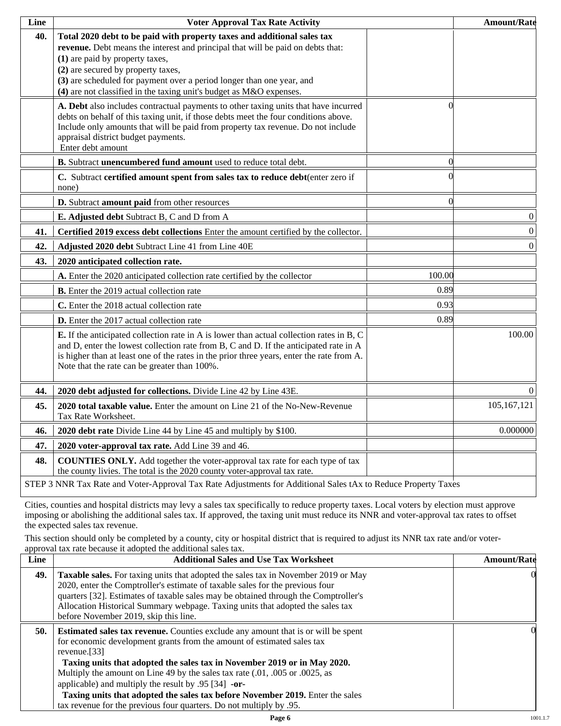| Line | <b>Voter Approval Tax Rate Activity</b>                                                                                                                                                                                                                                                                                                                                               |                | <b>Amount/Rate</b> |
|------|---------------------------------------------------------------------------------------------------------------------------------------------------------------------------------------------------------------------------------------------------------------------------------------------------------------------------------------------------------------------------------------|----------------|--------------------|
| 40.  | Total 2020 debt to be paid with property taxes and additional sales tax<br>revenue. Debt means the interest and principal that will be paid on debts that:<br>(1) are paid by property taxes,<br>(2) are secured by property taxes,<br>(3) are scheduled for payment over a period longer than one year, and<br>$(4)$ are not classified in the taxing unit's budget as M&O expenses. |                |                    |
|      | A. Debt also includes contractual payments to other taxing units that have incurred<br>debts on behalf of this taxing unit, if those debts meet the four conditions above.<br>Include only amounts that will be paid from property tax revenue. Do not include<br>appraisal district budget payments.<br>Enter debt amount                                                            | 0              |                    |
|      | B. Subtract unencumbered fund amount used to reduce total debt.                                                                                                                                                                                                                                                                                                                       | $\overline{0}$ |                    |
|      | C. Subtract certified amount spent from sales tax to reduce debt(enter zero if<br>none)                                                                                                                                                                                                                                                                                               |                |                    |
|      | D. Subtract amount paid from other resources                                                                                                                                                                                                                                                                                                                                          | $\theta$       |                    |
|      | E. Adjusted debt Subtract B, C and D from A                                                                                                                                                                                                                                                                                                                                           |                | $\boldsymbol{0}$   |
| 41.  | Certified 2019 excess debt collections Enter the amount certified by the collector.                                                                                                                                                                                                                                                                                                   |                | $\boldsymbol{0}$   |
| 42.  | Adjusted 2020 debt Subtract Line 41 from Line 40E                                                                                                                                                                                                                                                                                                                                     |                | $\boldsymbol{0}$   |
| 43.  | 2020 anticipated collection rate.                                                                                                                                                                                                                                                                                                                                                     |                |                    |
|      | A. Enter the 2020 anticipated collection rate certified by the collector                                                                                                                                                                                                                                                                                                              | 100.00         |                    |
|      | <b>B.</b> Enter the 2019 actual collection rate                                                                                                                                                                                                                                                                                                                                       | 0.89           |                    |
|      | C. Enter the 2018 actual collection rate                                                                                                                                                                                                                                                                                                                                              | 0.93           |                    |
|      | <b>D.</b> Enter the 2017 actual collection rate                                                                                                                                                                                                                                                                                                                                       | 0.89           |                    |
|      | E. If the anticipated collection rate in A is lower than actual collection rates in B, C<br>and D, enter the lowest collection rate from B, C and D. If the anticipated rate in A<br>is higher than at least one of the rates in the prior three years, enter the rate from A.<br>Note that the rate can be greater than 100%.                                                        |                | 100.00             |
| 44.  | 2020 debt adjusted for collections. Divide Line 42 by Line 43E.                                                                                                                                                                                                                                                                                                                       |                | $\Omega$           |
| 45.  | 2020 total taxable value. Enter the amount on Line 21 of the No-New-Revenue<br>Tax Rate Worksheet.                                                                                                                                                                                                                                                                                    |                | 105,167,121        |
| 46.  | 2020 debt rate Divide Line 44 by Line 45 and multiply by \$100.                                                                                                                                                                                                                                                                                                                       |                | 0.000000           |
| 47.  | 2020 voter-approval tax rate. Add Line 39 and 46.                                                                                                                                                                                                                                                                                                                                     |                |                    |
| 48.  | <b>COUNTIES ONLY.</b> Add together the voter-approval tax rate for each type of tax<br>the county livies. The total is the 2020 county voter-approval tax rate.                                                                                                                                                                                                                       |                |                    |
|      | STEP 3 NNR Tax Rate and Voter-Approval Tax Rate Adjustments for Additional Sales tAx to Reduce Property Taxes                                                                                                                                                                                                                                                                         |                |                    |

Cities, counties and hospital districts may levy a sales tax specifically to reduce property taxes. Local voters by election must approve imposing or abolishing the additional sales tax. If approved, the taxing unit must reduce its NNR and voter-approval tax rates to offset the expected sales tax revenue.

This section should only be completed by a county, city or hospital district that is required to adjust its NNR tax rate and/or voterapproval tax rate because it adopted the additional sales tax.

| <b>Additional Sales and Use Tax Worksheet</b>                                                                                                                                                                                                                                                                                                                                                                                                                                                | <b>Amount/Rate</b>                                                  |
|----------------------------------------------------------------------------------------------------------------------------------------------------------------------------------------------------------------------------------------------------------------------------------------------------------------------------------------------------------------------------------------------------------------------------------------------------------------------------------------------|---------------------------------------------------------------------|
| Taxable sales. For taxing units that adopted the sales tax in November 2019 or May<br>2020, enter the Comptroller's estimate of taxable sales for the previous four<br>quarters [32]. Estimates of taxable sales may be obtained through the Comptroller's<br>Allocation Historical Summary webpage. Taxing units that adopted the sales tax<br>before November 2019, skip this line.                                                                                                        | $\Omega$                                                            |
| <b>Estimated sales tax revenue.</b> Counties exclude any amount that is or will be spent<br>for economic development grants from the amount of estimated sales tax<br>revenue. $[33]$<br>Taxing units that adopted the sales tax in November 2019 or in May 2020.<br>Multiply the amount on Line 49 by the sales tax rate (.01, .005 or .0025, as<br>applicable) and multiply the result by $.95$ [34] -or-<br>Taxing units that adopted the sales tax before November 2019. Enter the sales | OI.                                                                 |
|                                                                                                                                                                                                                                                                                                                                                                                                                                                                                              | tax revenue for the previous four quarters. Do not multiply by .95. |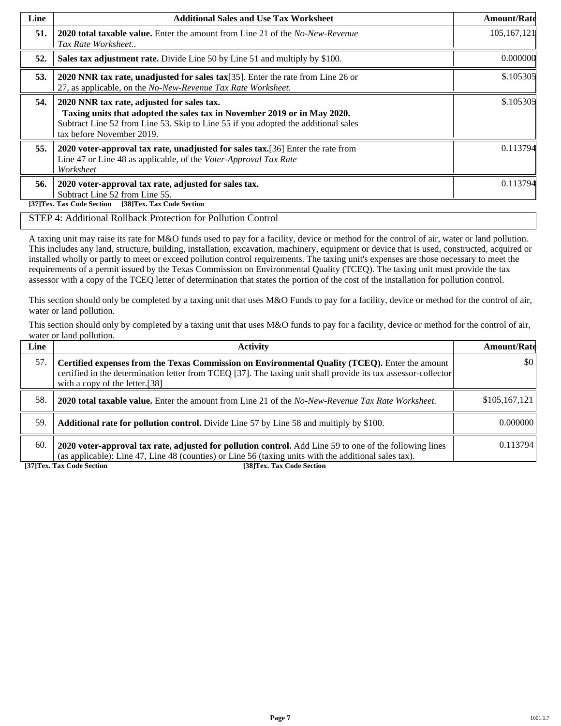| Line | <b>Additional Sales and Use Tax Worksheet</b>                                                                                                                                                                                             | <b>Amount/Rate</b> |
|------|-------------------------------------------------------------------------------------------------------------------------------------------------------------------------------------------------------------------------------------------|--------------------|
| 51.  | <b>2020 total taxable value.</b> Enter the amount from Line 21 of the <i>No-New-Revenue</i><br>Tax Rate Worksheet                                                                                                                         | 105, 167, 121      |
| 52.  | Sales tax adjustment rate. Divide Line 50 by Line 51 and multiply by \$100.                                                                                                                                                               | 0.000000           |
| 53.  | 2020 NNR tax rate, unadjusted for sales tax[35]. Enter the rate from Line 26 or<br>27, as applicable, on the No-New-Revenue Tax Rate Worksheet.                                                                                           | \$.105305          |
| 54.  | 2020 NNR tax rate, adjusted for sales tax.<br>Taxing units that adopted the sales tax in November 2019 or in May 2020.<br>Subtract Line 52 from Line 53. Skip to Line 55 if you adopted the additional sales<br>tax before November 2019. | \$.105305          |
| 55.  | 2020 voter-approval tax rate, unadjusted for sales tax. [36] Enter the rate from<br>Line 47 or Line 48 as applicable, of the Voter-Approval Tax Rate<br>Worksheet                                                                         | 0.113794           |
| 56.  | 2020 voter-approval tax rate, adjusted for sales tax.<br>Subtract Line 52 from Line 55.<br>[38]Tex. Tax Code Section<br>[37]Tex. Tax Code Section                                                                                         | 0.113794           |

### STEP 4: Additional Rollback Protection for Pollution Control

A taxing unit may raise its rate for M&O funds used to pay for a facility, device or method for the control of air, water or land pollution. This includes any land, structure, building, installation, excavation, machinery, equipment or device that is used, constructed, acquired or installed wholly or partly to meet or exceed pollution control requirements. The taxing unit's expenses are those necessary to meet the requirements of a permit issued by the Texas Commission on Environmental Quality (TCEQ). The taxing unit must provide the tax assessor with a copy of the TCEQ letter of determination that states the portion of the cost of the installation for pollution control.

This section should only be completed by a taxing unit that uses M&O Funds to pay for a facility, device or method for the control of air, water or land pollution.

This section should only by completed by a taxing unit that uses M&O funds to pay for a facility, device or method for the control of air, water or land pollution.

| Line | <b>Activity</b>                                                                                                                                                                                                                                    | <b>Amount/Rate</b>      |
|------|----------------------------------------------------------------------------------------------------------------------------------------------------------------------------------------------------------------------------------------------------|-------------------------|
| 57.  | Certified expenses from the Texas Commission on Environmental Quality (TCEQ). Enter the amount<br>certified in the determination letter from TCEQ [37]. The taxing unit shall provide its tax assessor-collector<br>with a copy of the letter.[38] | $\vert \$\text{0}\vert$ |
| 58.  | <b>2020 total taxable value.</b> Enter the amount from Line 21 of the No-New-Revenue Tax Rate Worksheet.                                                                                                                                           | \$105,167,121           |
| 59.  | <b>Additional rate for pollution control.</b> Divide Line 57 by Line 58 and multiply by \$100.                                                                                                                                                     | 0.000000                |
| 60.  | 2020 voter-approval tax rate, adjusted for pollution control. Add Line 59 to one of the following lines<br>(as applicable): Line 47, Line 48 (counties) or Line 56 (taxing units with the additional sales tax).                                   | 0.113794                |

**[37]Tex. Tax Code Section [38]Tex. Tax Code Section**